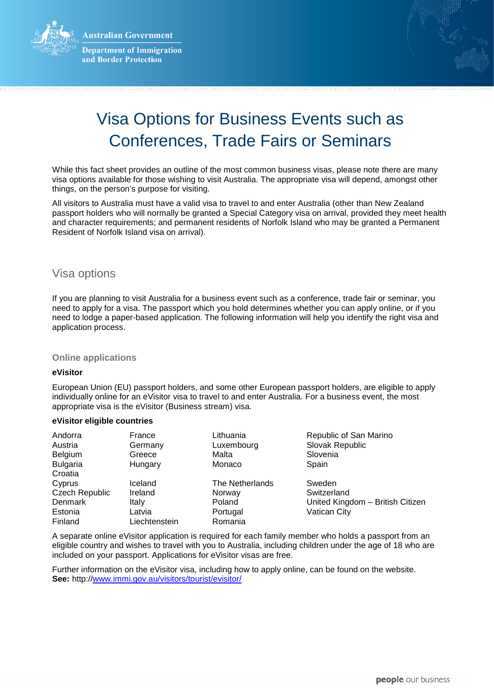**Australian Government** 



**Department of Immigration** and Border Protection



# Visa Options for Business Events such as Conferences, Trade Fairs or Seminars

While this fact sheet provides an outline of the most common business visas, please note there are many visa options available for those wishing to visit Australia. The appropriate visa will depend, amongst other things, on the person's purpose for visiting.

All visitors to Australia must have a valid visa to travel to and enter Australia (other than New Zealand passport holders who will normally be granted a Special Category visa on arrival, provided they meet health and character requirements; and permanent residents of Norfolk Island who may be granted a Permanent Resident of Norfolk Island visa on arrival).

# Visa options

If you are planning to visit Australia for a business event such as a conference, trade fair or seminar, you need to apply for a visa. The passport which you hold determines whether you can apply online, or if you need to lodge a paper-based application. The following information will help you identify the right visa and application process.

# **Online applications**

### **eVisitor**

European Union (EU) passport holders, and some other European passport holders, are eligible to apply individually online for an eVisitor visa to travel to and enter Australia. For a business event, the most appropriate visa is the eVisitor (Business stream) visa.

### **eVisitor eligible countries**

| Andorra               | France        | Lithuania              | Republic of San Marino           |
|-----------------------|---------------|------------------------|----------------------------------|
| Austria               | Germany       | Luxembourg             | Slovak Republic                  |
| <b>Belgium</b>        | Greece        | Malta                  | Slovenia                         |
| <b>Bulgaria</b>       | Hungary       | Monaco                 | Spain                            |
| Croatia               |               |                        |                                  |
| Cyprus                | Iceland       | <b>The Netherlands</b> | Sweden                           |
| <b>Czech Republic</b> | Ireland       | Norway                 | Switzerland                      |
| Denmark               | Italy         | Poland                 | United Kingdom - British Citizen |
| Estonia               | Latvia        | Portugal               | Vatican City                     |
| Finland               | Liechtenstein | Romania                |                                  |

A separate online eVisitor application is required for each family member who holds a passport from an eligible country and wishes to travel with you to Australia, including children under the age of 18 who are included on your passport. Applications for eVisitor visas are free.

Further information on the eVisitor visa, including how to apply online, can be found on the website. **See:** http://www.immi.gov.au/visitors/tourist/evisitor/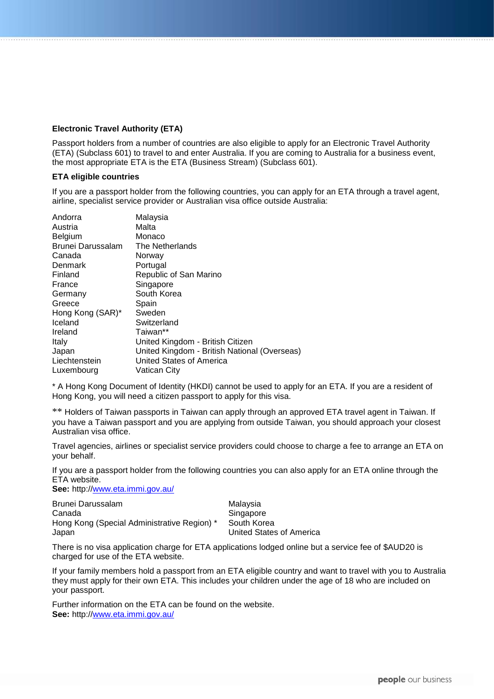# **Electronic Travel Authority (ETA)**

Passport holders from a number of countries are also eligible to apply for an Electronic Travel Authority (ETA) (Subclass 601) to travel to and enter Australia. If you are coming to Australia for a business event, the most appropriate ETA is the ETA (Business Stream) (Subclass 601).

### **ETA eligible countries**

If you are a passport holder from the following countries, you can apply for an ETA through a travel agent, airline, specialist service provider or Australian visa office outside Australia:

| Andorra                  | Malaysia                                     |
|--------------------------|----------------------------------------------|
| Austria                  | Malta                                        |
| Belgium                  | Monaco                                       |
| <b>Brunei Darussalam</b> | The Netherlands                              |
| Canada                   | Norway                                       |
| Denmark                  | Portugal                                     |
| Finland                  | Republic of San Marino                       |
| France                   | Singapore                                    |
| Germany                  | South Korea                                  |
| Greece                   | Spain                                        |
| Hong Kong (SAR)*         | Sweden                                       |
| Iceland                  | Switzerland                                  |
| Ireland                  | Taiwan**                                     |
| Italy                    | United Kingdom - British Citizen             |
| Japan                    | United Kingdom - British National (Overseas) |
| Liechtenstein            | United States of America                     |
| Luxembourg               | Vatican City                                 |

\* A Hong Kong Document of Identity (HKDI) cannot be used to apply for an ETA. If you are a resident of Hong Kong, you will need a citizen passport to apply for this visa.

\*\* Holders of Taiwan passports in Taiwan can apply through an approved ETA travel agent in Taiwan. If you have a Taiwan passport and you are applying from outside Taiwan, you should approach your closest Australian visa office.

Travel agencies, airlines or specialist service providers could choose to charge a fee to arrange an ETA on your behalf.

If you are a passport holder from the following countries you can also apply for an ETA online through the ETA website.

**See:** http:/[/www.eta.immi.gov.au/](http://www.eta.immi.gov.au/)

| Brunei Darussalam                           | Malaysia                 |
|---------------------------------------------|--------------------------|
| Canada                                      | Singapore                |
| Hong Kong (Special Administrative Region) * | South Korea              |
| Japan                                       | United States of America |

There is no visa application charge for ETA applications lodged online but a service fee of \$AUD20 is charged for use of the ETA website.

If your family members hold a passport from an ETA eligible country and want to travel with you to Australia they must apply for their own ETA. This includes your children under the age of 18 who are included on your passport.

Further information on the ETA can be found on the website. **See:** http:/[/www.eta.immi.gov.au/](http://www.eta.immi.gov.au/)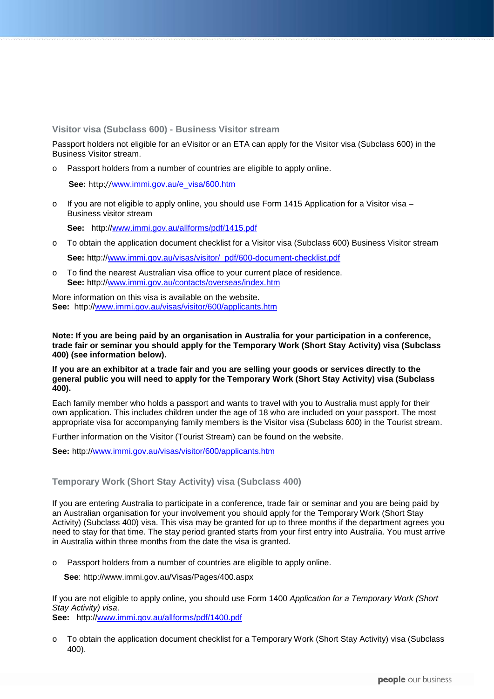**Visitor visa (Subclass 600) - Business Visitor stream**

Passport holders not eligible for an eVisitor or an ETA can apply for the Visitor visa (Subclass 600) in the Business Visitor stream.

o Passport holders from a number of countries are eligible to apply online.

 **See:** http://[www.immi.gov.au/e\\_visa/600.htm](http://www.immi.gov.au/e_visa/600.htm)

o If you are not eligible to apply online, you should use Form 1415 Application for a Visitor visa – Business visitor stream

**See:** http:/[/www.immi.gov.au/allforms/pdf/1415.pdf](http://www.immi.gov.au/allforms/pdf/1415.pdf)

o To obtain the application document checklist for a Visitor visa (Subclass 600) Business Visitor stream

**See:** http:/[/www.immi.gov.au/visas/visitor/\\_pdf/600-document-checklist.pdf](http://www.immi.gov.au/visas/visitor/_pdf/600-document-checklist.pdf)

o To find the nearest Australian visa office to your current place of residence. **See:** http:/[/www.immi.gov.au/contacts/overseas/index.htm](http://www.immi.gov.au/contacts/overseas/index.htm)

More information on this visa is available on the website. **See:** http:/[/www.immi.gov.au/visas/visitor/600/applicants.htm](http://www.immi.gov.au/visas/visitor/600/applicants.htm)

**Note: If you are being paid by an organisation in Australia for your participation in a conference, trade fair or seminar you should apply for the Temporary Work (Short Stay Activity) visa (Subclass 400) (see information below).** 

# **If you are an exhibitor at a trade fair and you are selling your goods or services directly to the general public you will need to apply for the Temporary Work (Short Stay Activity) visa (Subclass 400).**

Each family member who holds a passport and wants to travel with you to Australia must apply for their own application. This includes children under the age of 18 who are included on your passport. The most appropriate visa for accompanying family members is the Visitor visa (Subclass 600) in the Tourist stream.

Further information on the Visitor (Tourist Stream) can be found on the website.

**See:** http:/[/www.immi.gov.au/visas/visitor/600/applicants.htm](http://www.immi.gov.au/visas/visitor/600/applicants.htm)

# **Temporary Work (Short Stay Activity) visa (Subclass 400)**

If you are entering Australia to participate in a conference, trade fair or seminar and you are being paid by an Australian organisation for your involvement you should apply for the Temporary Work (Short Stay Activity) (Subclass 400) visa. This visa may be granted for up to three months if the department agrees you need to stay for that time. The stay period granted starts from your first entry into Australia. You must arrive in Australia within three months from the date the visa is granted.

o Passport holders from a number of countries are eligible to apply online.

**See**: http://www.immi.gov.au/Visas/Pages/400.aspx

If you are not eligible to apply online, you should use Form 1400 *Application for a Temporary Work (Short Stay Activity) visa*.

**See:** http://www.immi.gov.au/allforms/pdf/1400.pdf

o To obtain the application document checklist for a Temporary Work (Short Stay Activity) visa (Subclass 400).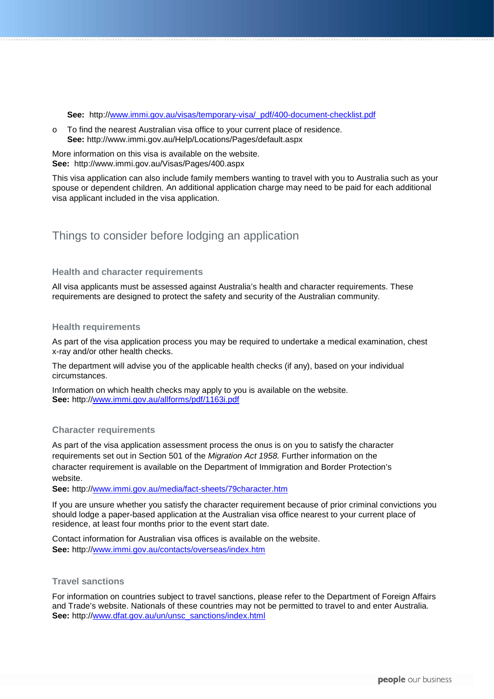**See:** http://www.immi.gov.au/visas/temporary-visa/\_pdf/400-document-checklist.pdf

o To find the nearest Australian visa office to your current place of residence. **See:** http://www.immi.gov.au/Help/Locations/Pages/default.aspx

More information on this visa is available on the website. **See:** http://www.immi.gov.au/Visas/Pages/400.aspx

This visa application can also include family members wanting to travel with you to Australia such as your spouse or dependent children. An additional application charge may need to be paid for each additional visa applicant included in the visa application.

# Things to consider before lodging an application

### **Health and character requirements**

All visa applicants must be assessed against Australia's health and character requirements. These requirements are designed to protect the safety and security of the Australian community.

### **Health requirements**

As part of the visa application process you may be required to undertake a medical examination, chest x-ray and/or other health checks.

The department will advise you of the applicable health checks (if any), based on your individual circumstances.

Information on which health checks may apply to you is available on the website. **See:** http:/[/www.immi.gov.au/allforms/pdf/1163i.pdf](http://www.immi.gov.au/allforms/pdf/1163i.pdf.) 

# **Character requirements**

As part of the visa application assessment process the onus is on you to satisfy the character requirements set out in Section 501 of the *Migration Act 1958.* Further information on the character requirement is available on the Department of Immigration and Border Protection's website.

**See:** http:/[/www.immi.gov.au/media/fact-sheets/79character.htm](http://www.immi.gov.au/media/fact-sheets/79character.htm)

If you are unsure whether you satisfy the character requirement because of prior criminal convictions you should lodge a paper-based application at the Australian visa office nearest to your current place of residence, at least four months prior to the event start date.

Contact information for Australian visa offices is available on the website. **See:** http:/[/www.immi.gov.au/contacts/overseas/index.htm](http://www.immi.gov.au/contacts/overseas/index.htm)

### **Travel sanctions**

For information on countries subject to travel sanctions, please refer to the Department of Foreign Affairs and Trade's website. Nationals of these countries may not be permitted to travel to and enter Australia. **See:** http:/[/www.dfat.gov.au/un/unsc\\_sanctions/index.html](http://www.dfat.gov.au/un/unsc_sanctions/index.html)